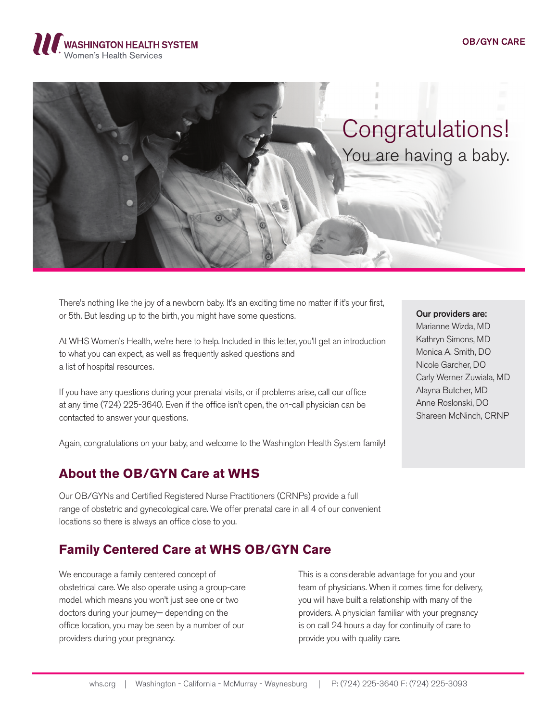## OB/GYN CARE





There's nothing like the joy of a newborn baby. It's an exciting time no matter if it's your first, or 5th. But leading up to the birth, you might have some questions.

At WHS Women's Health, we're here to help. Included in this letter, you'll get an introduction to what you can expect, as well as frequently asked questions and a list of hospital resources.

If you have any questions during your prenatal visits, or if problems arise, call our office at any time (724) 225-3640. Even if the office isn't open, the on-call physician can be contacted to answer your questions.

Again, congratulations on your baby, and welcome to the Washington Health System family!

## **About the OB/GYN Care at WHS**

Our OB/GYNs and Certified Registered Nurse Practitioners (CRNPs) provide a full range of obstetric and gynecological care. We offer prenatal care in all 4 of our convenient locations so there is always an office close to you.

# **Family Centered Care at WHS OB/GYN Care**

We encourage a family centered concept of obstetrical care. We also operate using a group-care model, which means you won't just see one or two doctors during your journey— depending on the office location, you may be seen by a number of our providers during your pregnancy.

This is a considerable advantage for you and your team of physicians. When it comes time for delivery, you will have built a relationship with many of the providers. A physician familiar with your pregnancy is on call 24 hours a day for continuity of care to provide you with quality care.

#### Our providers are:

Marianne Wizda, MD Kathryn Simons, MD Monica A. Smith, DO Nicole Garcher, DO Carly Werner Zuwiala, MD Alayna Butcher, MD Anne Roslonski, DO Shareen McNinch, CRNP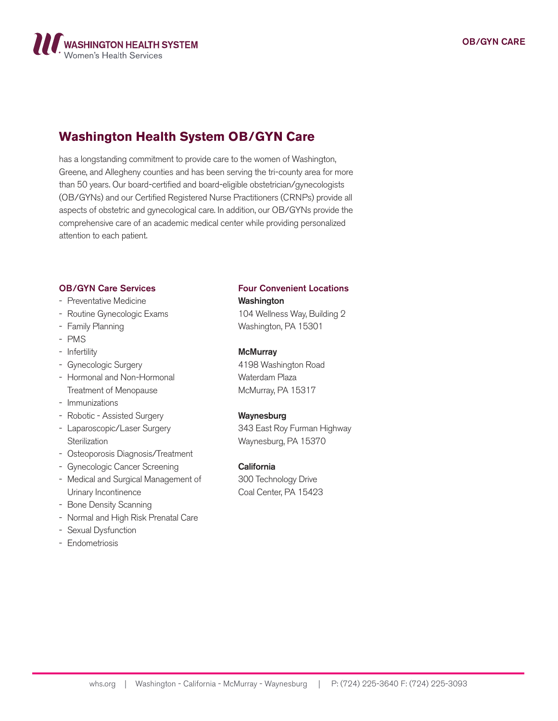

# **Washington Health System OB/GYN Care**

has a longstanding commitment to provide care to the women of Washington, Greene, and Allegheny counties and has been serving the tri-county area for more than 50 years. Our board-certified and board-eligible obstetrician/gynecologists (OB/GYNs) and our Certified Registered Nurse Practitioners (CRNPs) provide all aspects of obstetric and gynecological care. In addition, our OB/GYNs provide the comprehensive care of an academic medical center while providing personalized attention to each patient.

## OB/GYN Care Services

- Preventative Medicine
- Routine Gynecologic Exams
- Family Planning
- PMS
- Infertility
- Gynecologic Surgery
- Hormonal and Non-Hormonal Treatment of Menopause
- Immunizations
- Robotic Assisted Surgery
- Laparoscopic/Laser Surgery **Sterilization**
- Osteoporosis Diagnosis/Treatment
- Gynecologic Cancer Screening
- Medical and Surgical Management of Urinary Incontinence
- Bone Density Scanning
- Normal and High Risk Prenatal Care
- Sexual Dysfunction
- Endometriosis

## Four Convenient Locations

## Washington

104 Wellness Way, Building 2 Washington, PA 15301

#### **McMurray**

4198 Washington Road Waterdam Plaza McMurray, PA 15317

#### Waynesburg

343 East Roy Furman Highway Waynesburg, PA 15370

### **California**

300 Technology Drive Coal Center, PA 15423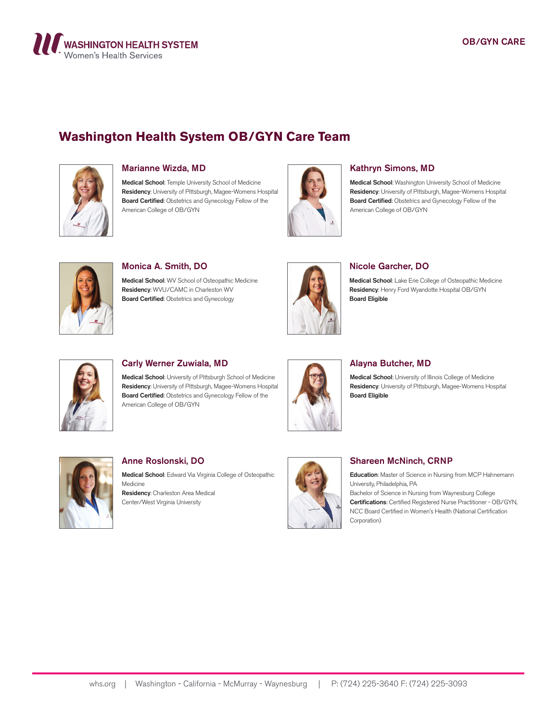

# **Washington Health System OB/GYN Care Team**



### Marianne Wizda, MD

Medical School: Temple University School of Medicine Residency: University of Pittsburgh, Magee-Womens Hospital Board Certified: Obstetrics and Gynecology Fellow of the American College of OB/GYN



### Kathryn Simons, MD

Medical School: Washington University School of Medicine Residency: University of Pittsburgh, Magee-Womens Hospital Board Certified: Obstetrics and Gynecology Fellow of the American College of OB/GYN



#### Monica A. Smith, DO

Medical School: WV School of Osteopathic Medicine Residency: WVU/CAMC in Charleston WV Board Certified: Obstetrics and Gynecology



### Nicole Garcher, DO

Medical School: Lake Erie College of Osteopathic Medicine Residency: Henry Ford Wyandotte Hospital OB/GYN Board Eligible



## Carly Werner Zuwiala, MD

Medical School: University of Pittsburgh School of Medicine Residency: University of Pittsburgh, Magee-Womens Hospital Board Certified: Obstetrics and Gynecology Fellow of the American College of OB/GYN



### Alayna Butcher, MD

Medical School: University of Illinois College of Medicine Residency: University of Pittsburgh, Magee-Womens Hospital Board Eligible



## Anne Roslonski, DO

Center/West Virginia University

Medical School: Edward Via Virginia College of Osteopathic Medicine Residency: Charleston Area Medical



## Shareen McNinch, CRNP

Education: Master of Science in Nursing from MCP Hahnemann University, Philadelphia, PA

Bachelor of Science in Nursing from Waynesburg College Certifications: Certified Registered Nurse Practitioner - OB/GYN, NCC Board Certified in Women's Health (National Certification Corporation)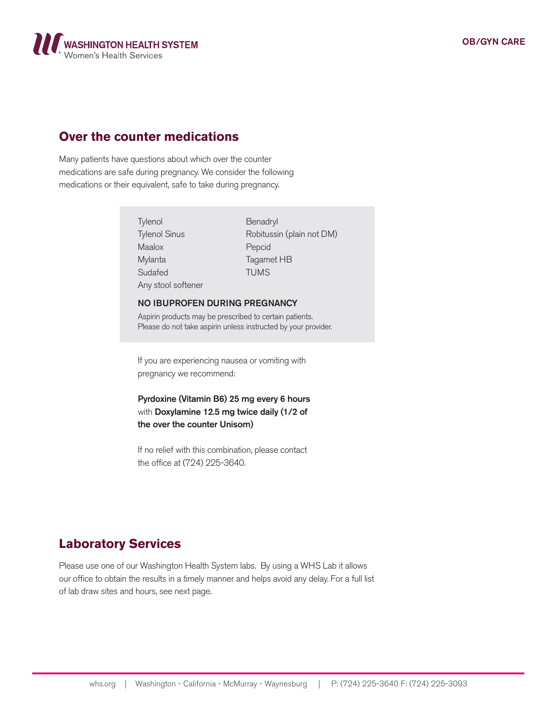

## **Over the counter medications**

Many patients have questions about which over the counter medications are safe during pregnancy. We consider the following medications or their equivalent, safe to take during pregnancy.

> **Tylenol** Tylenol Sinus Maalox Mylanta Sudafed Any stool softener

Benadryl Robitussin (plain not DM) Pepcid Tagamet HB TUMS

#### NO IBUPROFEN DURING PREGNANCY

Aspirin products may be prescribed to certain patients. Please do not take aspirin unless instructed by your provider.

If you are experiencing nausea or vomiting with pregnancy we recommend:

Pyrdoxine (Vitamin B6) 25 mg every 6 hours with Doxylamine 12.5 mg twice daily (1/2 of the over the counter Unisom)

If no relief with this combination, please contact the office at (724) 225-3640.

## **Laboratory Services**

Please use one of our Washington Health System labs. By using a WHS Lab it allows our office to obtain the results in a timely manner and helps avoid any delay. For a full list of lab draw sites and hours, see next page.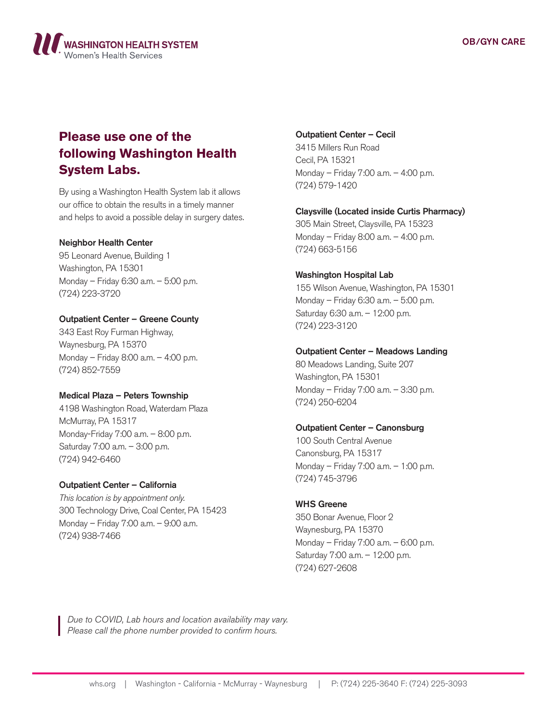

# **Please use one of the following Washington Health System Labs.**

By using a Washington Health System lab it allows our office to obtain the results in a timely manner and helps to avoid a possible delay in surgery dates.

## Neighbor Health Center

95 Leonard Avenue, Building 1 Washington, PA 15301 Monday – Friday 6:30 a.m. – 5:00 p.m. (724) 223-3720

## Outpatient Center – Greene County

343 East Roy Furman Highway, Waynesburg, PA 15370 Monday – Friday 8:00 a.m. – 4:00 p.m. (724) 852-7559

## Medical Plaza – Peters Township

4198 Washington Road, Waterdam Plaza McMurray, PA 15317 Monday-Friday 7:00 a.m. – 8:00 p.m. Saturday 7:00 a.m. – 3:00 p.m. (724) 942-6460

### Outpatient Center – California

*This location is by appointment only.* 300 Technology Drive, Coal Center, PA 15423 Monday – Friday 7:00 a.m. – 9:00 a.m. (724) 938-7466

### Outpatient Center – Cecil

3415 Millers Run Road Cecil, PA 15321 Monday – Friday 7:00 a.m. – 4:00 p.m. (724) 579-1420

## Claysville (Located inside Curtis Pharmacy)

305 Main Street, Claysville, PA 15323 Monday – Friday 8:00 a.m. – 4:00 p.m. (724) 663-5156

## Washington Hospital Lab

155 Wilson Avenue, Washington, PA 15301 Monday – Friday 6:30 a.m. – 5:00 p.m. Saturday 6:30 a.m. – 12:00 p.m. (724) 223-3120

## Outpatient Center – Meadows Landing

80 Meadows Landing, Suite 207 Washington, PA 15301 Monday – Friday 7:00 a.m. – 3:30 p.m. (724) 250-6204

## Outpatient Center – Canonsburg

100 South Central Avenue Canonsburg, PA 15317 Monday – Friday 7:00 a.m. – 1:00 p.m. (724) 745-3796

### WHS Greene

350 Bonar Avenue, Floor 2 Waynesburg, PA 15370 Monday – Friday 7:00 a.m. – 6:00 p.m. Saturday 7:00 a.m. – 12:00 p.m. (724) 627-2608

*Due to COVID, Lab hours and location availability may vary. Please call the phone number provided to confirm hours.*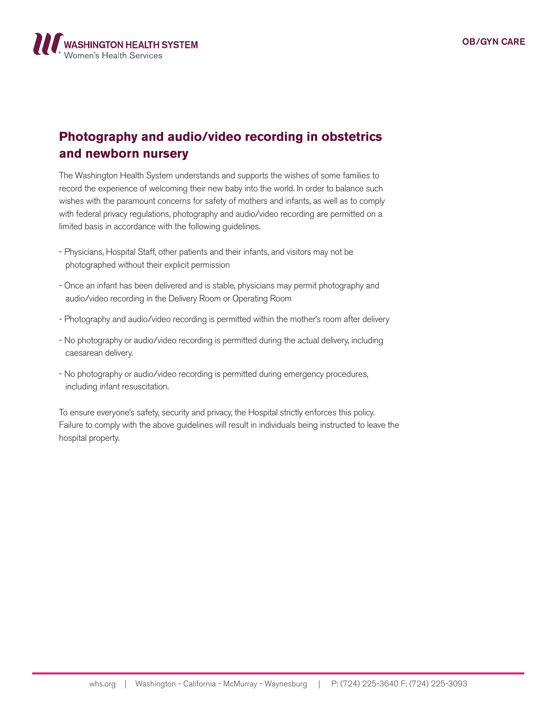

# **Photography and audio/video recording in obstetrics and newborn nursery**

The Washington Health System understands and supports the wishes of some families to record the experience of welcoming their new baby into the world. In order to balance such wishes with the paramount concerns for safety of mothers and infants, as well as to comply with federal privacy regulations, photography and audio/video recording are permitted on a limited basis in accordance with the following guidelines.

- Physicians, Hospital Staff, other patients and their infants, and visitors may not be photographed without their explicit permission
- Once an infant has been delivered and is stable, physicians may permit photography and audio/video recording in the Delivery Room or Operating Room
- Photography and audio/video recording is permitted within the mother's room after delivery
- No photography or audio/video recording is permitted during the actual delivery, including caesarean delivery.
- No photography or audio/video recording is permitted during emergency procedures, including infant resuscitation.

To ensure everyone's safety, security and privacy, the Hospital strictly enforces this policy. Failure to comply with the above guidelines will result in individuals being instructed to leave the hospital property.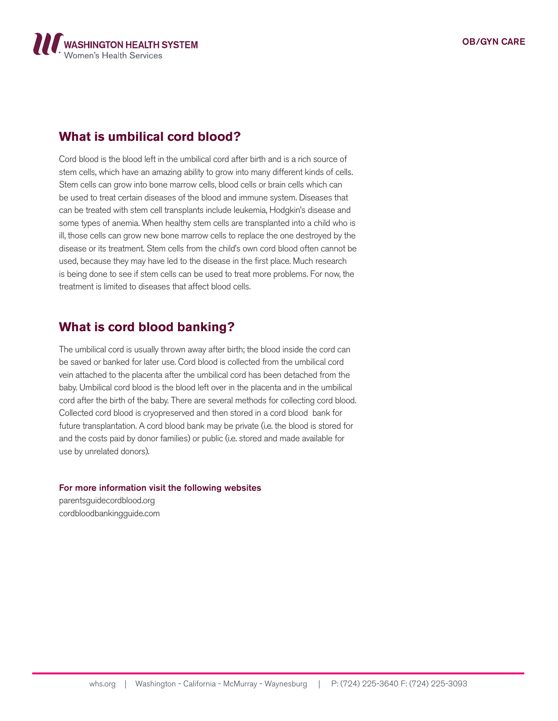

## **What is umbilical cord blood?**

Cord blood is the blood left in the umbilical cord after birth and is a rich source of stem cells, which have an amazing ability to grow into many different kinds of cells. Stem cells can grow into bone marrow cells, blood cells or brain cells which can be used to treat certain diseases of the blood and immune system. Diseases that can be treated with stem cell transplants include leukemia, Hodgkin's disease and some types of anemia. When healthy stem cells are transplanted into a child who is ill, those cells can grow new bone marrow cells to replace the one destroyed by the disease or its treatment. Stem cells from the child's own cord blood often cannot be used, because they may have led to the disease in the first place. Much research is being done to see if stem cells can be used to treat more problems. For now, the treatment is limited to diseases that affect blood cells.

## **What is cord blood banking?**

The umbilical cord is usually thrown away after birth; the blood inside the cord can be saved or banked for later use. Cord blood is collected from the umbilical cord vein attached to the placenta after the umbilical cord has been detached from the baby. Umbilical cord blood is the blood left over in the placenta and in the umbilical cord after the birth of the baby. There are several methods for collecting cord blood. Collected cord blood is cryopreserved and then stored in a cord blood bank for future transplantation. A cord blood bank may be private (i.e. the blood is stored for and the costs paid by donor families) or public (i.e. stored and made available for use by unrelated donors).

## For more information visit the following websites

parentsguidecordblood.org cordbloodbankingguide.com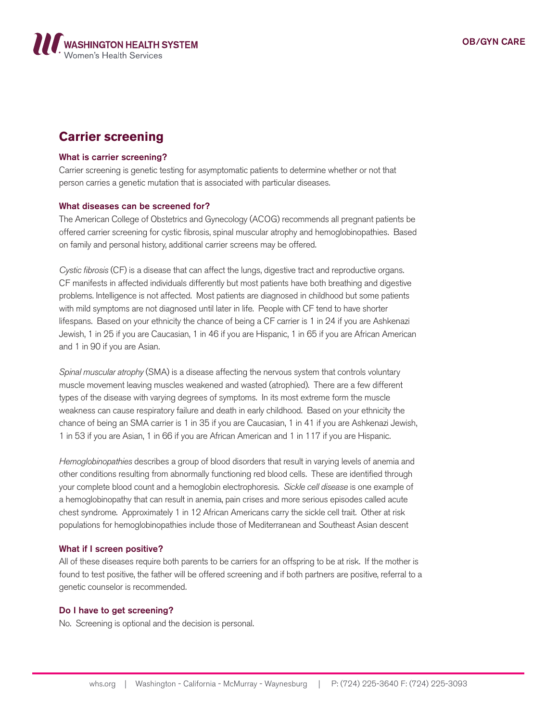

# **Carrier screening**

#### What is carrier screening?

Carrier screening is genetic testing for asymptomatic patients to determine whether or not that person carries a genetic mutation that is associated with particular diseases.

#### What diseases can be screened for?

The American College of Obstetrics and Gynecology (ACOG) recommends all pregnant patients be offered carrier screening for cystic fibrosis, spinal muscular atrophy and hemoglobinopathies. Based on family and personal history, additional carrier screens may be offered.

*Cystic fibrosis* (CF) is a disease that can affect the lungs, digestive tract and reproductive organs. CF manifests in affected individuals differently but most patients have both breathing and digestive problems. Intelligence is not affected. Most patients are diagnosed in childhood but some patients with mild symptoms are not diagnosed until later in life. People with CF tend to have shorter lifespans. Based on your ethnicity the chance of being a CF carrier is 1 in 24 if you are Ashkenazi Jewish, 1 in 25 if you are Caucasian, 1 in 46 if you are Hispanic, 1 in 65 if you are African American and 1 in 90 if you are Asian.

*Spinal muscular atrophy* (SMA) is a disease affecting the nervous system that controls voluntary muscle movement leaving muscles weakened and wasted (atrophied). There are a few different types of the disease with varying degrees of symptoms. In its most extreme form the muscle weakness can cause respiratory failure and death in early childhood. Based on your ethnicity the chance of being an SMA carrier is 1 in 35 if you are Caucasian, 1 in 41 if you are Ashkenazi Jewish, 1 in 53 if you are Asian, 1 in 66 if you are African American and 1 in 117 if you are Hispanic.

*Hemoglobinopathies* describes a group of blood disorders that result in varying levels of anemia and other conditions resulting from abnormally functioning red blood cells. These are identified through your complete blood count and a hemoglobin electrophoresis. *Sickle cell disease* is one example of a hemoglobinopathy that can result in anemia, pain crises and more serious episodes called acute chest syndrome. Approximately 1 in 12 African Americans carry the sickle cell trait. Other at risk populations for hemoglobinopathies include those of Mediterranean and Southeast Asian descent

#### What if I screen positive?

All of these diseases require both parents to be carriers for an offspring to be at risk. If the mother is found to test positive, the father will be offered screening and if both partners are positive, referral to a genetic counselor is recommended.

### Do I have to get screening?

No. Screening is optional and the decision is personal.